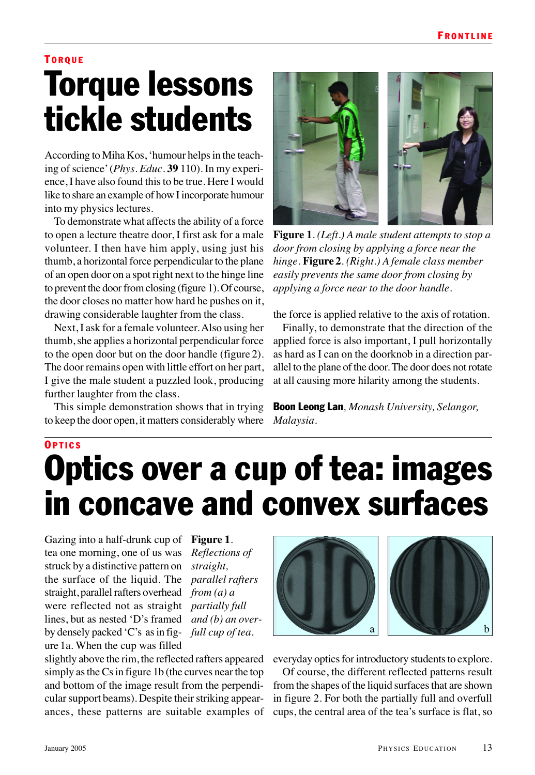## **OPTICS** Optics over a cup of tea: images in concave and convex surfaces

Gazing into a half-drunk cup of **Figure 1***.* tea one morning, one of us was *Reflections of* struck by a distinctive pattern on *straight,* the surface of the liquid. The *parallel rafters* straight, parallel rafters overhead *from (a) a* were reflected not as straight *partially full* lines, but as nested 'D's framed *and (b) an over*by densely packed 'C's as in fig-*full cup of tea.* ure 1a. When the cup was filled

slightly above the rim, the reflected rafters appeared simply as the Cs in figure 1b (the curves near the top and bottom of the image result from the perpendicular support beams). Despite their striking appearances, these patterns are suitable examples of



everyday optics for introductory students to explore.

Of course, the different reflected patterns result from the shapes of the liquid surfaces that are shown in figure 2. For both the partially full and overfull cups, the central area of the tea's surface is flat, so